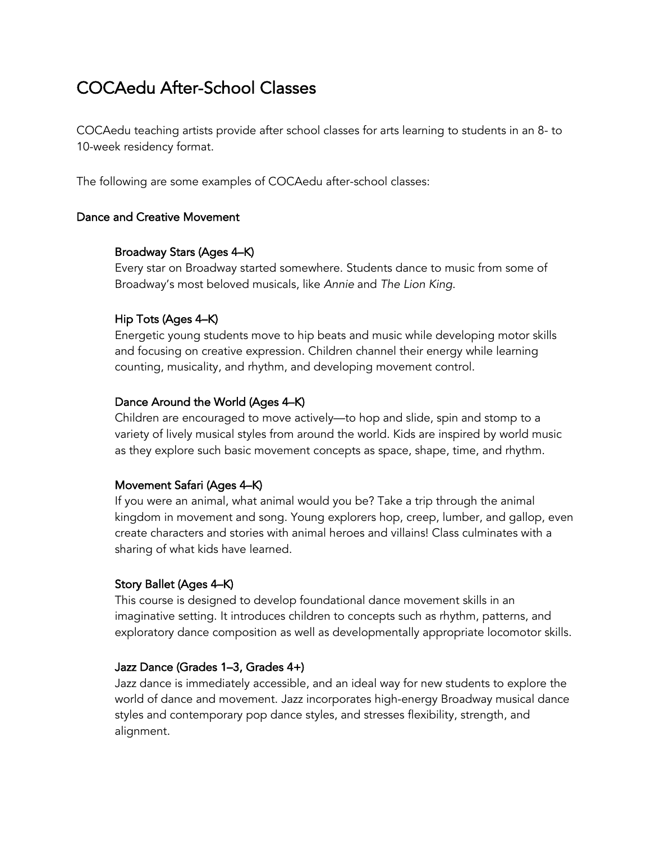# COCAedu After-School Classes

COCAedu teaching artists provide after school classes for arts learning to students in an 8- to 10-week residency format.

The following are some examples of COCAedu after-school classes:

## Dance and Creative Movement

## Broadway Stars (Ages 4–K)

Every star on Broadway started somewhere. Students dance to music from some of Broadway's most beloved musicals, like *Annie* and *The Lion King*.

## Hip Tots (Ages 4–K)

Energetic young students move to hip beats and music while developing motor skills and focusing on creative expression. Children channel their energy while learning counting, musicality, and rhythm, and developing movement control.

## Dance Around the World (Ages 4–K)

Children are encouraged to move actively—to hop and slide, spin and stomp to a variety of lively musical styles from around the world. Kids are inspired by world music as they explore such basic movement concepts as space, shape, time, and rhythm.

# Movement Safari (Ages 4–K)

If you were an animal, what animal would you be? Take a trip through the animal kingdom in movement and song. Young explorers hop, creep, lumber, and gallop, even create characters and stories with animal heroes and villains! Class culminates with a sharing of what kids have learned.

#### Story Ballet (Ages 4–K)

This course is designed to develop foundational dance movement skills in an imaginative setting. It introduces children to concepts such as rhythm, patterns, and exploratory dance composition as well as developmentally appropriate locomotor skills.

#### Jazz Dance (Grades 1–3, Grades 4+)

Jazz dance is immediately accessible, and an ideal way for new students to explore the world of dance and movement. Jazz incorporates high-energy Broadway musical dance styles and contemporary pop dance styles, and stresses flexibility, strength, and alignment.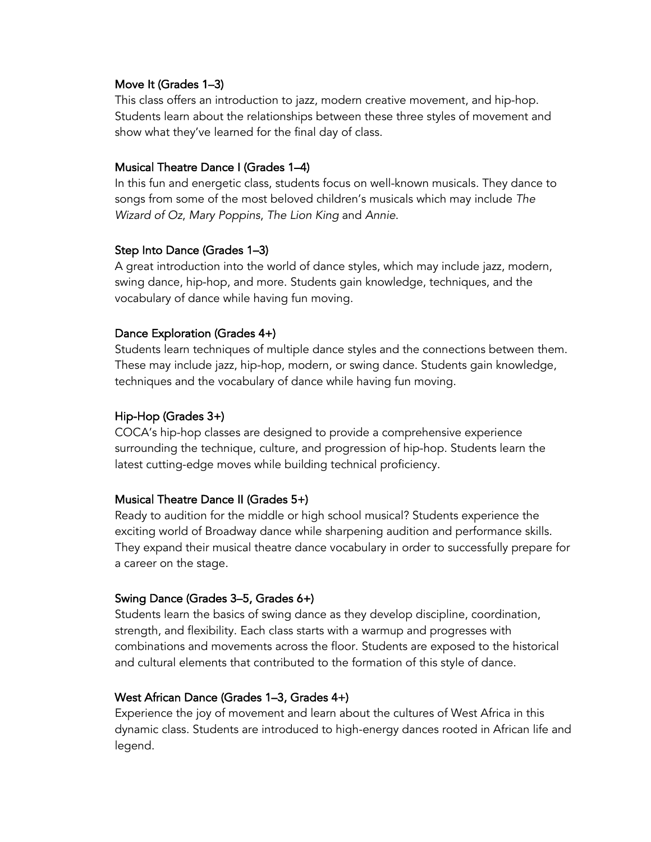#### Move It (Grades 1–3)

This class offers an introduction to jazz, modern creative movement, and hip-hop. Students learn about the relationships between these three styles of movement and show what they've learned for the final day of class.

## Musical Theatre Dance I (Grades 1–4)

In this fun and energetic class, students focus on well-known musicals. They dance to songs from some of the most beloved children's musicals which may include *The Wizard of Oz*, *Mary Poppins*, *The Lion King* and *Annie*.

## Step Into Dance (Grades 1–3)

A great introduction into the world of dance styles, which may include jazz, modern, swing dance, hip-hop, and more. Students gain knowledge, techniques, and the vocabulary of dance while having fun moving.

# Dance Exploration (Grades 4+)

Students learn techniques of multiple dance styles and the connections between them. These may include jazz, hip-hop, modern, or swing dance. Students gain knowledge, techniques and the vocabulary of dance while having fun moving.

# Hip-Hop (Grades 3+)

COCA's hip-hop classes are designed to provide a comprehensive experience surrounding the technique, culture, and progression of hip-hop. Students learn the latest cutting-edge moves while building technical proficiency.

# Musical Theatre Dance II (Grades 5+)

Ready to audition for the middle or high school musical? Students experience the exciting world of Broadway dance while sharpening audition and performance skills. They expand their musical theatre dance vocabulary in order to successfully prepare for a career on the stage.

# Swing Dance (Grades 3–5, Grades 6+)

Students learn the basics of swing dance as they develop discipline, coordination, strength, and flexibility. Each class starts with a warmup and progresses with combinations and movements across the floor. Students are exposed to the historical and cultural elements that contributed to the formation of this style of dance.

# West African Dance (Grades 1–3, Grades 4+)

Experience the joy of movement and learn about the cultures of West Africa in this dynamic class. Students are introduced to high-energy dances rooted in African life and legend.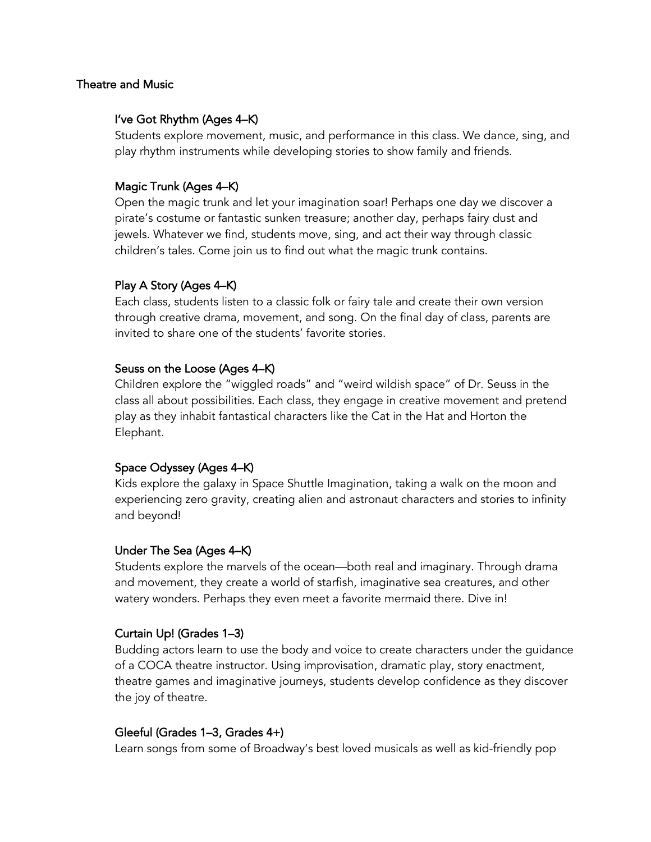#### Theatre and Music

## I've Got Rhythm (Ages 4–K)

Students explore movement, music, and performance in this class. We dance, sing, and play rhythm instruments while developing stories to show family and friends.

# Magic Trunk (Ages 4–K)

Open the magic trunk and let your imagination soar! Perhaps one day we discover a pirate's costume or fantastic sunken treasure; another day, perhaps fairy dust and jewels. Whatever we find, students move, sing, and act their way through classic children's tales. Come join us to find out what the magic trunk contains.

# Play A Story (Ages 4–K)

Each class, students listen to a classic folk or fairy tale and create their own version through creative drama, movement, and song. On the final day of class, parents are invited to share one of the students' favorite stories.

# Seuss on the Loose (Ages 4–K)

Children explore the "wiggled roads" and "weird wildish space" of Dr. Seuss in the class all about possibilities. Each class, they engage in creative movement and pretend play as they inhabit fantastical characters like the Cat in the Hat and Horton the Elephant.

# Space Odyssey (Ages 4–K)

Kids explore the galaxy in Space Shuttle Imagination, taking a walk on the moon and experiencing zero gravity, creating alien and astronaut characters and stories to infinity and beyond!

# Under The Sea (Ages 4–K)

Students explore the marvels of the ocean—both real and imaginary. Through drama and movement, they create a world of starfish, imaginative sea creatures, and other watery wonders. Perhaps they even meet a favorite mermaid there. Dive in!

# Curtain Up! (Grades 1–3)

Budding actors learn to use the body and voice to create characters under the guidance of a COCA theatre instructor. Using improvisation, dramatic play, story enactment, theatre games and imaginative journeys, students develop confidence as they discover the joy of theatre.

# Gleeful (Grades 1–3, Grades 4+)

Learn songs from some of Broadway's best loved musicals as well as kid-friendly pop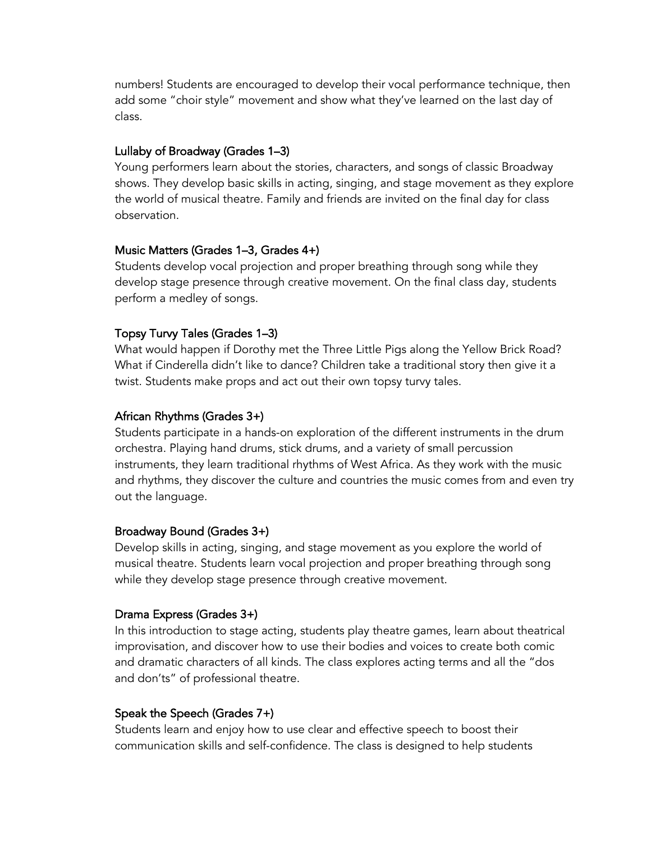numbers! Students are encouraged to develop their vocal performance technique, then add some "choir style" movement and show what they've learned on the last day of class.

## Lullaby of Broadway (Grades 1–3)

Young performers learn about the stories, characters, and songs of classic Broadway shows. They develop basic skills in acting, singing, and stage movement as they explore the world of musical theatre. Family and friends are invited on the final day for class observation.

## Music Matters (Grades 1–3, Grades 4+)

Students develop vocal projection and proper breathing through song while they develop stage presence through creative movement. On the final class day, students perform a medley of songs.

# Topsy Turvy Tales (Grades 1–3)

What would happen if Dorothy met the Three Little Pigs along the Yellow Brick Road? What if Cinderella didn't like to dance? Children take a traditional story then give it a twist. Students make props and act out their own topsy turvy tales.

## African Rhythms (Grades 3+)

Students participate in a hands-on exploration of the different instruments in the drum orchestra. Playing hand drums, stick drums, and a variety of small percussion instruments, they learn traditional rhythms of West Africa. As they work with the music and rhythms, they discover the culture and countries the music comes from and even try out the language.

#### Broadway Bound (Grades 3+)

Develop skills in acting, singing, and stage movement as you explore the world of musical theatre. Students learn vocal projection and proper breathing through song while they develop stage presence through creative movement.

# Drama Express (Grades 3+)

In this introduction to stage acting, students play theatre games, learn about theatrical improvisation, and discover how to use their bodies and voices to create both comic and dramatic characters of all kinds. The class explores acting terms and all the "dos and don'ts" of professional theatre.

# Speak the Speech (Grades 7+)

Students learn and enjoy how to use clear and effective speech to boost their communication skills and self-confidence. The class is designed to help students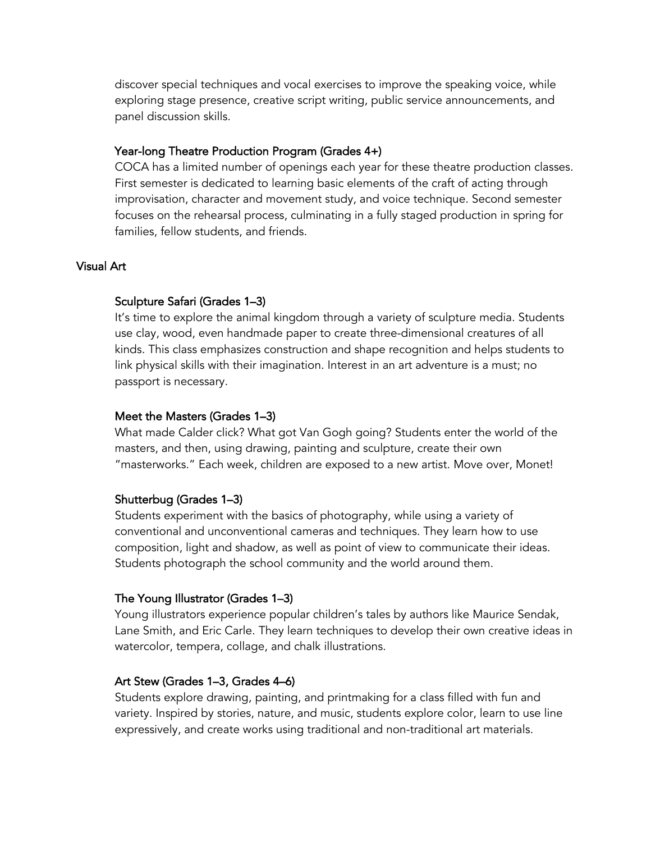discover special techniques and vocal exercises to improve the speaking voice, while exploring stage presence, creative script writing, public service announcements, and panel discussion skills.

## Year-long Theatre Production Program (Grades 4+)

COCA has a limited number of openings each year for these theatre production classes. First semester is dedicated to learning basic elements of the craft of acting through improvisation, character and movement study, and voice technique. Second semester focuses on the rehearsal process, culminating in a fully staged production in spring for families, fellow students, and friends.

#### Visual Art

#### Sculpture Safari (Grades 1–3)

It's time to explore the animal kingdom through a variety of sculpture media. Students use clay, wood, even handmade paper to create three-dimensional creatures of all kinds. This class emphasizes construction and shape recognition and helps students to link physical skills with their imagination. Interest in an art adventure is a must; no passport is necessary.

#### Meet the Masters (Grades 1–3)

What made Calder click? What got Van Gogh going? Students enter the world of the masters, and then, using drawing, painting and sculpture, create their own "masterworks." Each week, children are exposed to a new artist. Move over, Monet!

# Shutterbug (Grades 1–3)

Students experiment with the basics of photography, while using a variety of conventional and unconventional cameras and techniques. They learn how to use composition, light and shadow, as well as point of view to communicate their ideas. Students photograph the school community and the world around them.

#### The Young Illustrator (Grades 1–3)

Young illustrators experience popular children's tales by authors like Maurice Sendak, Lane Smith, and Eric Carle. They learn techniques to develop their own creative ideas in watercolor, tempera, collage, and chalk illustrations.

#### Art Stew (Grades 1–3, Grades 4–6)

Students explore drawing, painting, and printmaking for a class filled with fun and variety. Inspired by stories, nature, and music, students explore color, learn to use line expressively, and create works using traditional and non-traditional art materials.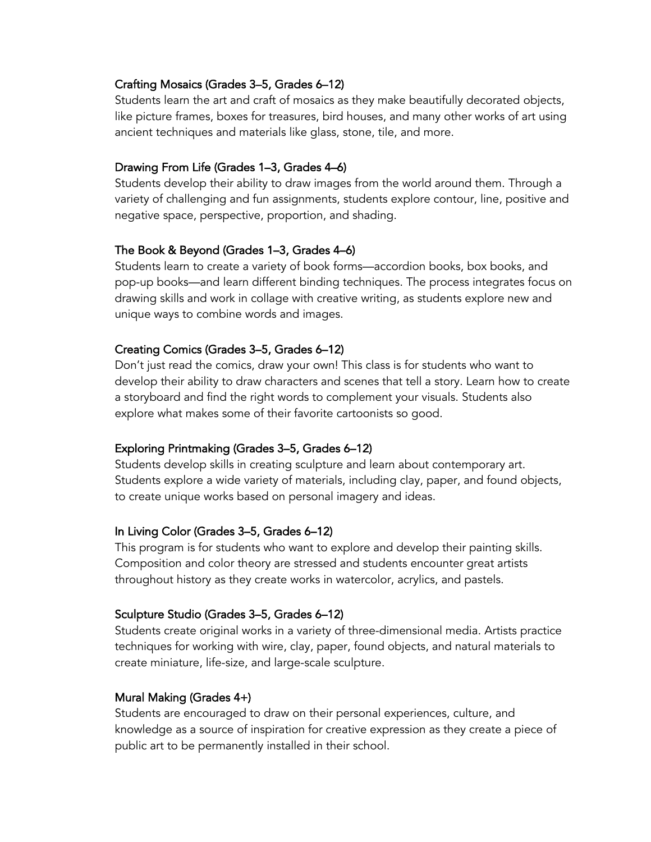## Crafting Mosaics (Grades 3–5, Grades 6–12)

Students learn the art and craft of mosaics as they make beautifully decorated objects, like picture frames, boxes for treasures, bird houses, and many other works of art using ancient techniques and materials like glass, stone, tile, and more.

## Drawing From Life (Grades 1–3, Grades 4–6)

Students develop their ability to draw images from the world around them. Through a variety of challenging and fun assignments, students explore contour, line, positive and negative space, perspective, proportion, and shading.

## The Book & Beyond (Grades 1–3, Grades 4–6)

Students learn to create a variety of book forms—accordion books, box books, and pop-up books—and learn different binding techniques. The process integrates focus on drawing skills and work in collage with creative writing, as students explore new and unique ways to combine words and images.

# Creating Comics (Grades 3–5, Grades 6–12)

Don't just read the comics, draw your own! This class is for students who want to develop their ability to draw characters and scenes that tell a story. Learn how to create a storyboard and find the right words to complement your visuals. Students also explore what makes some of their favorite cartoonists so good.

# Exploring Printmaking (Grades 3–5, Grades 6–12)

Students develop skills in creating sculpture and learn about contemporary art. Students explore a wide variety of materials, including clay, paper, and found objects, to create unique works based on personal imagery and ideas.

# In Living Color (Grades 3–5, Grades 6–12)

This program is for students who want to explore and develop their painting skills. Composition and color theory are stressed and students encounter great artists throughout history as they create works in watercolor, acrylics, and pastels.

# Sculpture Studio (Grades 3–5, Grades 6–12)

Students create original works in a variety of three-dimensional media. Artists practice techniques for working with wire, clay, paper, found objects, and natural materials to create miniature, life-size, and large-scale sculpture.

# Mural Making (Grades 4+)

Students are encouraged to draw on their personal experiences, culture, and knowledge as a source of inspiration for creative expression as they create a piece of public art to be permanently installed in their school.